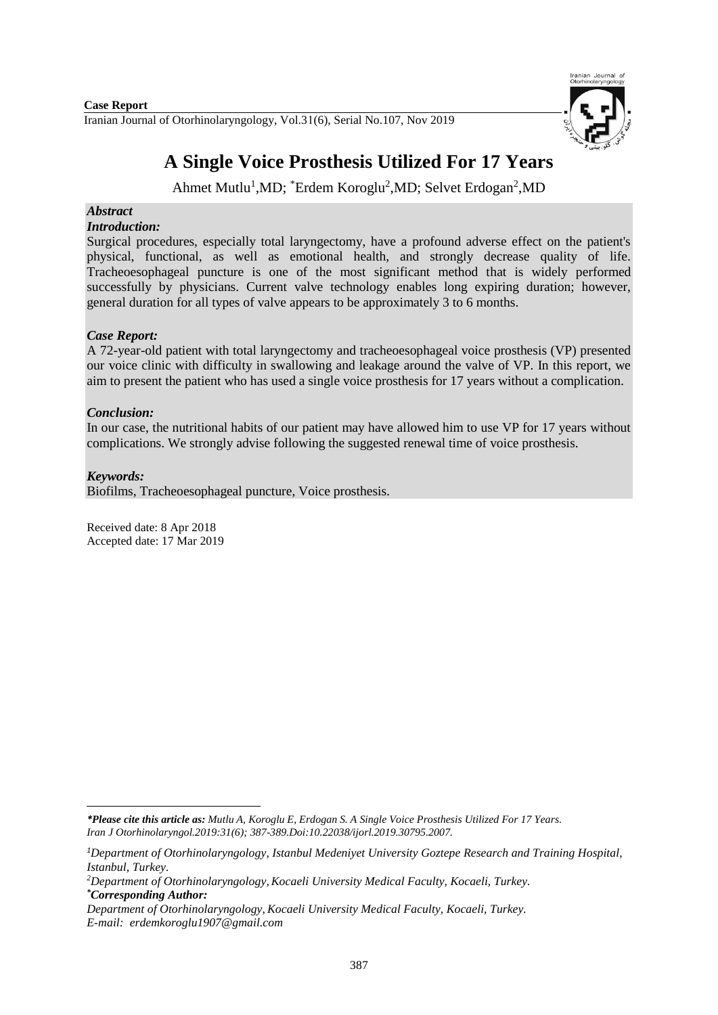**Case Report** 

Iranian Journal of Otorhinolaryngology, Vol.31(6), Serial No.107, Nov 2019



# **A Single Voice Prosthesis Utilized For 17 Years**

Ahmet Mutlu<sup>1</sup>,MD; <sup>\*</sup>Erdem Koroglu<sup>2</sup>,MD; Selvet Erdogan<sup>2</sup>,MD

## *Abstract*

## *Introduction:*

Surgical procedures, especially total laryngectomy, have a profound adverse effect on the patient's physical, functional, as well as emotional health, and strongly decrease quality of life. Tracheoesophageal puncture is one of the most significant method that is widely performed successfully by physicians. Current valve technology enables long expiring duration; however, general duration for all types of valve appears to be approximately 3 to 6 months.

## *Case Report:*

A 72-year-old patient with total laryngectomy and tracheoesophageal voice prosthesis (VP) presented our voice clinic with difficulty in swallowing and leakage around the valve of VP. In this report, we aim to present the patient who has used a single voice prosthesis for 17 years without a complication.

## *Conclusion:*

In our case, the nutritional habits of our patient may have allowed him to use VP for 17 years without complications. We strongly advise following the suggested renewal time of voice prosthesis.

### *Keywords:*

**.** 

Biofilms, Tracheoesophageal puncture, Voice prosthesis.

Received date: 8 Apr 2018 Accepted date: 17 Mar 2019

*<sup>\*</sup>Please cite this article as: Mutlu A, Koroglu E, Erdogan S. A Single Voice Prosthesis Utilized For 17 Years. [Iran J Otorhinolaryngol.2](https://www.ncbi.nlm.nih.gov/pubmed/?term=Tri-layer+Tympanoplasty+as+a+New+Technique+in+High-risk+Tympanic+Membrane+Perforations)019:31(6); 387-389.Doi:10.22038/ijorl.2019.30795.2007.*

*<sup>1</sup>Department of Otorhinolaryngology, Istanbul Medeniyet University Goztepe Research and Training Hospital, Istanbul, Turkey.*

*<sup>2</sup>Department of Otorhinolaryngology,Kocaeli University Medical Faculty, Kocaeli, Turkey. \*Corresponding Author:*

*Department of Otorhinolaryngology, Kocaeli University Medical Faculty, Kocaeli, Turkey. E-mail: erdemkoroglu1907@gmail.com*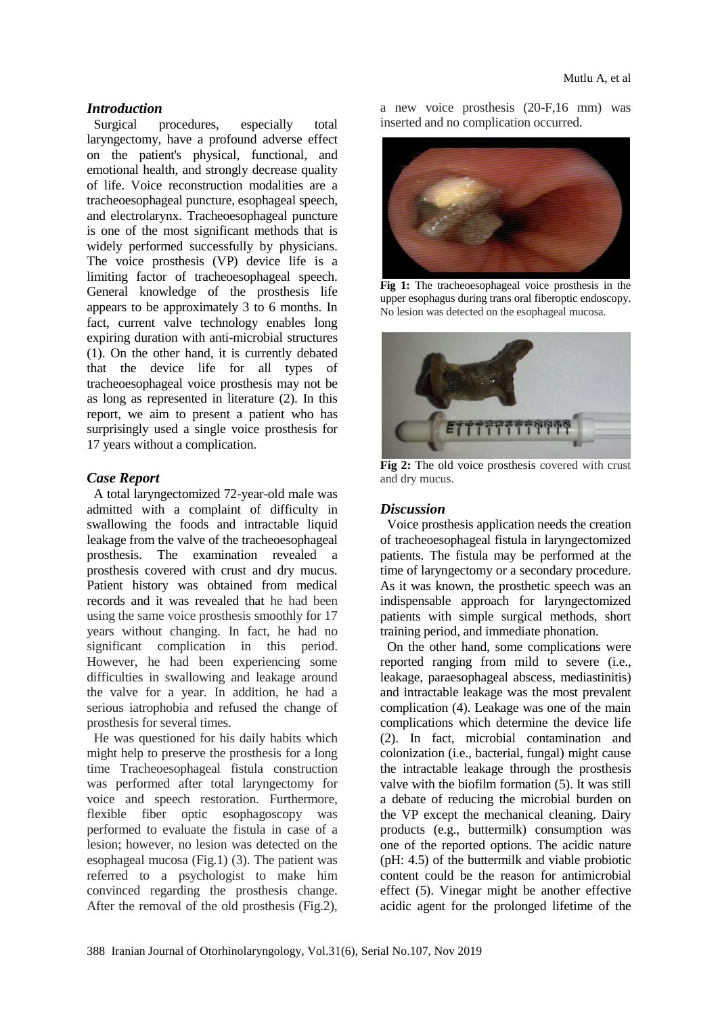#### *Introduction*

Surgical procedures, especially total laryngectomy, have a profound adverse effect on the patient's physical, functional, and emotional health, and strongly decrease quality of life. Voice reconstruction modalities are a tracheoesophageal puncture, esophageal speech, and electrolarynx. Tracheoesophageal puncture is one of the most significant methods that is widely performed successfully by physicians. The voice prosthesis (VP) device life is a limiting factor of tracheoesophageal speech. General knowledge of the prosthesis life appears to be approximately 3 to 6 months. In fact, current valve technology enables long expiring duration with anti-microbial structures (1). On the other hand, it is currently debated that the device life for all types of tracheoesophageal voice prosthesis may not be as long as represented in literature (2). In this report, we aim to present a patient who has surprisingly used a single voice prosthesis for 17 years without a complication.

#### *Case Report*

A total laryngectomized 72-year-old male was admitted with a complaint of difficulty in swallowing the foods and intractable liquid leakage from the valve of the tracheoesophageal prosthesis. The examination revealed a prosthesis covered with crust and dry mucus. Patient history was obtained from medical records and it was revealed that he had been using the same voice prosthesis smoothly for 17 years without changing. In fact, he had no significant complication in this period. However, he had been experiencing some difficulties in swallowing and leakage around the valve for a year. In addition, he had a serious iatrophobia and refused the change of prosthesis for several times.

He was questioned for his daily habits which might help to preserve the prosthesis for a long time Tracheoesophageal fistula construction was performed after total laryngectomy for voice and speech restoration. Furthermore, flexible fiber optic esophagoscopy was performed to evaluate the fistula in case of a lesion; however, no lesion was detected on the esophageal mucosa (Fig.1) (3). The patient was referred to a psychologist to make him convinced regarding the prosthesis change. After the removal of the old prosthesis (Fig.2),

a new voice prosthesis (20-F,16 mm) was inserted and no complication occurred.



**Fig 1:** The tracheoesophageal voice prosthesis in the upper esophagus during trans oral fiberoptic endoscopy. No lesion was detected on the esophageal mucosa.



**Fig 2:** The old voice prosthesis covered with crust and dry mucus.

#### *Discussion*

Voice prosthesis application needs the creation of tracheoesophageal fistula in laryngectomized patients. The fistula may be performed at the time of laryngectomy or a secondary procedure. As it was known, the prosthetic speech was an indispensable approach for laryngectomized patients with simple surgical methods, short training period, and immediate phonation.

On the other hand, some complications were reported ranging from mild to severe (i.e., leakage, paraesophageal abscess, mediastinitis) and intractable leakage was the most prevalent complication (4). Leakage was one of the main complications which determine the device life (2). In fact, microbial contamination and colonization (i.e., bacterial, fungal) might cause the intractable leakage through the prosthesis valve with the biofilm formation (5). It was still a debate of reducing the microbial burden on the VP except the mechanical cleaning. Dairy products (e.g., buttermilk) consumption was one of the reported options. The acidic nature (pH: 4.5) of the buttermilk and viable probiotic content could be the reason for antimicrobial effect (5). Vinegar might be another effective acidic agent for the prolonged lifetime of the